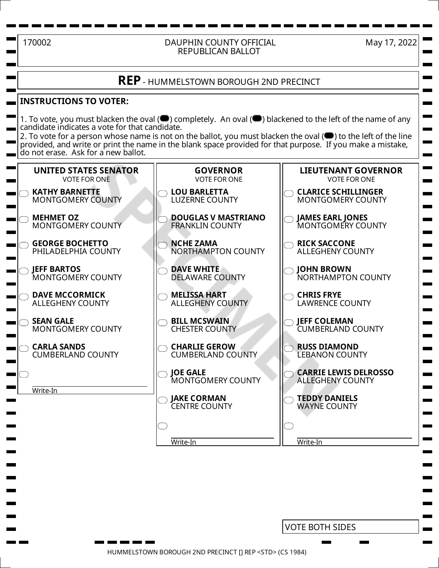## 170002 DAUPHIN COUNTY OFFICIAL REPUBLICAN BALLOT

May 17, 2022

## **REP**- HUMMELSTOWN BOROUGH 2ND PRECINCT

## **INSTRUCTIONS TO VOTER:**

1. To vote, you must blacken the oval (C) completely. An oval (O) blackened to the left of the name of any candidate indicates a vote for that candidate.

2. To vote for a person whose name is not on the ballot, you must blacken the oval  $($ **)** to the left of the line provided, and write or print the name in the blank space provided for that purpose. If you make a mistake, do not erase. Ask for a new ballot.



VOTE BOTH SIDES